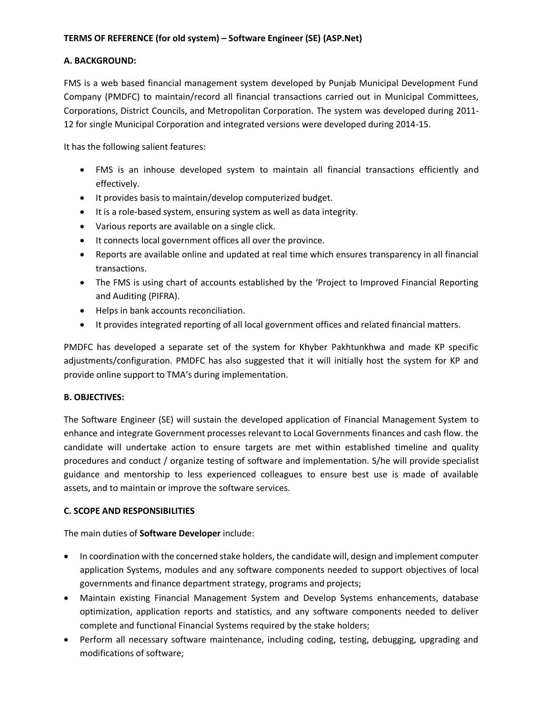# **A. BACKGROUND:**

FMS is a web based financial management system developed by Punjab Municipal Development Fund Company (PMDFC) to maintain/record all financial transactions carried out in Municipal Committees, Corporations, District Councils, and Metropolitan Corporation. The system was developed during 2011- 12 for single Municipal Corporation and integrated versions were developed during 2014-15.

It has the following salient features:

- FMS is an inhouse developed system to maintain all financial transactions efficiently and effectively.
- It provides basis to maintain/develop computerized budget.
- It is a role-based system, ensuring system as well as data integrity.
- Various reports are available on a single click.
- It connects local government offices all over the province.
- Reports are available online and updated at real time which ensures transparency in all financial transactions.
- The FMS is using chart of accounts established by the 'Project to Improved Financial Reporting and Auditing (PIFRA).
- Helps in bank accounts reconciliation.
- It provides integrated reporting of all local government offices and related financial matters.

PMDFC has developed a separate set of the system for Khyber Pakhtunkhwa and made KP specific adjustments/configuration. PMDFC has also suggested that it will initially host the system for KP and provide online support to TMA's during implementation.

### **B. OBJECTIVES:**

The Software Engineer (SE) will sustain the developed application of Financial Management System to enhance and integrate Government processes relevant to Local Governments finances and cash flow. the candidate will undertake action to ensure targets are met within established timeline and quality procedures and conduct / organize testing of software and implementation. S/he will provide specialist guidance and mentorship to less experienced colleagues to ensure best use is made of available assets, and to maintain or improve the software services.

### **C. SCOPE AND RESPONSIBILITIES**

The main duties of **Software Developer** include:

- In coordination with the concerned stake holders, the candidate will, design and implement computer application Systems, modules and any software components needed to support objectives of local governments and finance department strategy, programs and projects;
- Maintain existing Financial Management System and Develop Systems enhancements, database optimization, application reports and statistics, and any software components needed to deliver complete and functional Financial Systems required by the stake holders;
- Perform all necessary software maintenance, including coding, testing, debugging, upgrading and modifications of software;